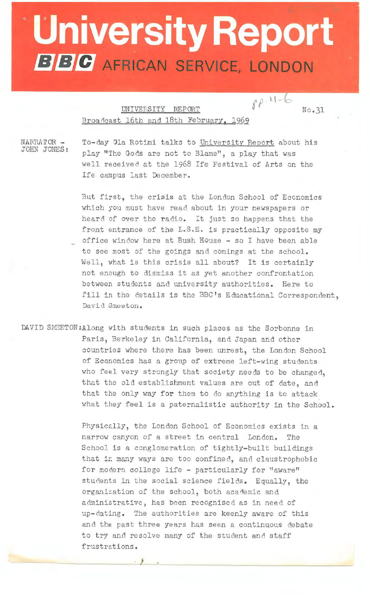## **University Report BBC** AFRICAN SERVICE, LONDON

UNIVERSITY REPORT  $\int \rho \cdot 1 - 6$ Broadcast 16th and 18th February, 1969

 $No.31$ 

NARRATOR - JOHN JONES:

To-day Ola Rotimi talks to University Report about his play "The Gods are not to Blame", a play that was well received at the 1968 Ife Festival of Arts on the Ife campus last December.

But first, the crisis at the London School of Eccnomics which you must have read about in your newspapers or heard of over the radio. It just so happens that the front entrance of the L.S.E. is practically opposite my office window here at Bush House - so I have been able to see most of the goings and comings at the school. Well, what is this crisis all about? It is certainly not enough to dismiss it as yet another confrontation between students and university authorities. Here to fill in the details is the BBC's Educational Correspondent, David Smeeton.

DAVID SMEETON:Along with students in such places as the Sorbonne in Paris, Berkeley in California, and Japan and other countries where there has been unrest, the London School of Economics has a group of extreme left-wing students who feel very strongly that society needs to be changed, that the old establishment values are out of date, and that the only way for them to do anything is to attack what they feel is a paternalistic authority in the School.

> Physically, the London School of Economics exists in a narrow canyon of a street in central London. The School is a conglomeration of tightly-built buildings that in many ways are too confined, and claustrophobic for modern college life - particularly for "aware" students in the social science fields. Equally, the organisation of the school, both academic and administrative, has been recognised as in need of up-dating. The authorities are keenly aware of this and the past three years has seen a continuous debate to try and resolve many of the student and staff frustrations •

> > . *j*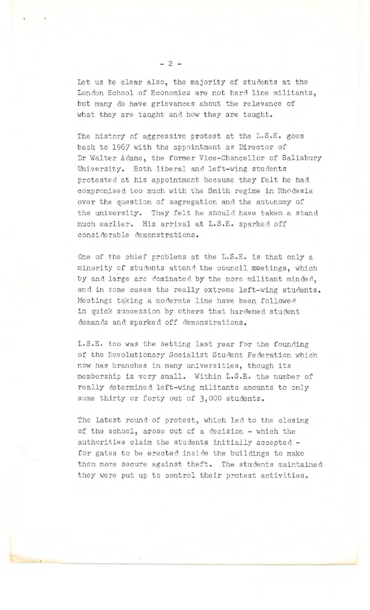Let us be clear also, the majority of students at the London School of Economics are not hard line militants, but many do have grievances about the relevance of what they are taught and how they are taught.

The history of aggressive protest at the  $L.S.E.$  goes back to 1967 with the appointment as Director of Dr Walter Adams, the former Vice-Chancellor of Salisbury University. Both liberal and left-wing students protested at his appointment because they felt he had compromised too much with the Smith regime in Rhodesia over the question of segregation and the autonomy of the university. They felt he should have taken a stand much earlier. His arrival at L.S.E. sparke d off considerable demonstrations.

One of the chief problems at the L.S.E. is that only a minority of students attend the council meetings, which by and large are dominated by the more militant minded, and in some cases the really extreme left-wing students. Meetings taking a moderate line have been followed in quick succession by others that hardened student demands and sparked off demonstrations.

L.S.E. too was the setting last year for the founding of the Revolutionary Socialist Student Federation which now has branches in many universities, though its membership is ve ry small. Within L.S.E. the number of really determined left-wing militants amounts to only some thirty or forty out of 3,000 students.

The latest round of protest, which led to the closing of the school, arose out of a decision - which the authorities claim the students initially accepted for gates to be erected inside the buildings to make them more secure against theft. The students maintained they were put up to control their protest activities.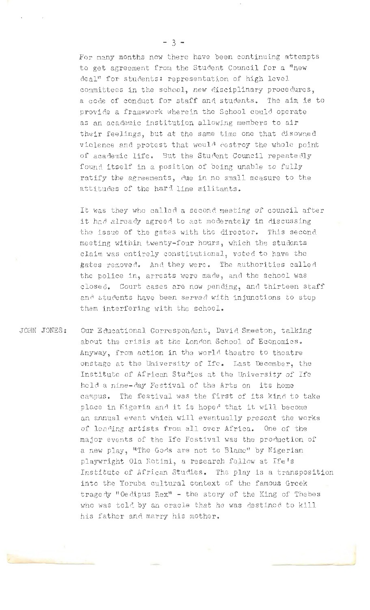For many months now there have been continuing attempts to get agreement from the Student Council for a "new deal" for students: representation of high level committees in the school, new disciplinary procedures, a code of conduct for staff and stucents. The aim is to provide a framework wherein the School could operate as an academic institution allowing members to air their feelings, but at the same time one that disowned violence and protest that woul<sup>3</sup> destroy the whole point of academic life. But the Student Council repeatedly found itself in a position of being unable to fully ratify the agreements, due in no small measure to the attitudes of the hard line militants.

It was they who called a second meeting of council after it had already agreed to act moderately in discussing the issue of the gates with the director. This second meeting within twenty-four hours, which the students claim was entirely constitutional, voted to have the gates removed. And they were. The authorities called the police in, arrests were made, and the school was closed. Court cases are now pending, and thirteen staff and students have been served with injunctions to stop them interfering with the school.

JOHN JONES: Our Educational Correspondent, David Smeeton, talking about the crisis at the London School of Economics. Anyway, from action in the world theatre to theatre onstage at the University of Ife. Last December, the Institute of African Studies at the University of Ife held a nine-day Festival of the Arts on its home campus. The festival was the first of its kind to take place in Nigeria and it is hoped that it will become an annual event which will eventually present the works of leading artists from all over Africa. One of the major events of the Ife Festival was the production of a new play, "The Gods are not to Blame" by Nigerian playwright Ola Rotimi, a research fellow at Ife's Institute of African Studies. The play is a transposition into the Yoruba cultural context of the famous Greek tragedy "Oe dipus Rex" - the story of the King of Thebes who was told by an oracle that he was destined to kill his father and marry his mother.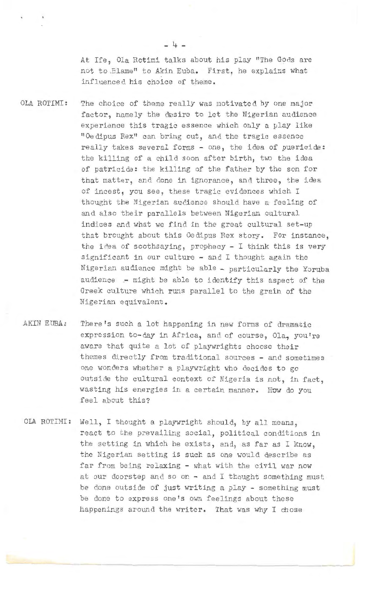At Ife, Ola Rotimi talks about his play "The Gods are not to Blame" to Akin Euba. First, he explains what influenced his choice of theme.

OLA ROTIMI:

The choice of theme really was motivated by one major factor, namely the desire to let the Nigerian audience experience this tragic essence which only a play like 11 Oedipus Rex11 can bring out, and the tragic essence really takes several forms - one, the idea of puericide: the killing of a child soon after birth, two the idea of patricide: the killing of the father by the son for that matter, and done in ignorance, and three, the idea of incest, you see, these tragic evidences which I thought the Nigerian audience should have a feeling of and also their parallels between Nigerian cultural indices and what we find in the great cultural set-up that brought about this Oedipus Rex story. For instance, the idea of soothsaying, prophecy  $-$  I think this is very significant in our culture - and I thought again the Nigerian audience might be able - particularly the Yoruba audience .- might be able to identify this aspect of the Greek culture which runs parallel to the grain of the Nigerian equivalent .

AKIN EUBA: There's such a lot happening in new forms of dramatic expression to-day in Africa, and of course, Ola, you're aware that quite a lot of playwrights choose their themes directly from traditional sources - and sometimes one wonders whether a playwright who decides to go outside the cultural context of Nigeria is not, in fact, wasting his energies in a certain manner. How do you feel about this?

OLA ROTIMI: Well, I thought a playwright should, by all means, react to the prevailing social, political conditions in the setting in which he exists, and, as far as I know, the Nigerian setting is such as one would describe as far from being relaxing - what with the civil war now at our doorstep and so on - and I thought something must be done outside of just writing a play - something must be done to express one's own feelings about these happenings around the writer. That was why I chose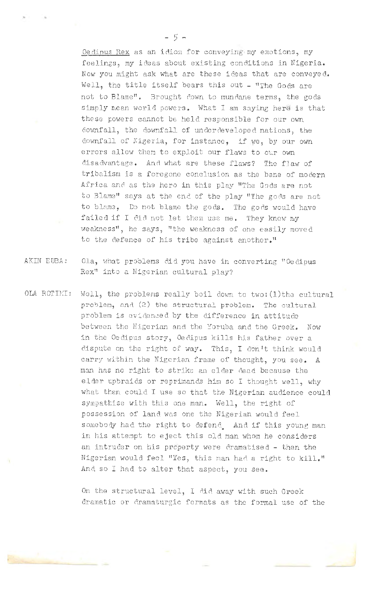Oedious Rex as an idiom for conveying my emotions, my feelings, my ideas about existing conditions in Nigeria. Now you might ask what are these ideas that are conveyed. Well, the title itself bears this out - "The Gods are not to Blame". Brought down to mundane terms, the gods simply mean world powers. What I am saying here is that these powers cannot be held responsible for our own downfall, the downfall of underdeveloped nations, the downfall of Nigeria, for instance, if we, by our own errors allow them to exploit our flaws to our own disadvantage. And what are these flaws? The flaw of tribalism is a foregone conclusion as the bane of modern Africa and as the hero in this play "The Gods are not to Blame" says at the end of the play "The gods are not to blame, Do not blame the gods. The gods would have failed if I did not let them use me. They knew my weakness", he says, "the weakness of one easily moved to the defence of his tribe against another."

- AKIN EUBA: Ola, what problems did you have in converting "Oedipus Rex<sup>u</sup> into a Nigerian cultural play?
- OLA ROTIMI: Well, the problems really boil down to two: (l)the cultural problem, and (2) the structural problem. The cultural problem is evidenced by the difference in attitude between the Migerian and the Yoruba and the Greek. Now in the Oedipus story, Oedipus kills his father over a dispute on the right of way. This, I don't think would carry within the Nigerian frame of thought, you see. A man has no right to strike an elder dead because the elder upbraids or reprimands him so I thought well, why what then could I use so that the Nigerian audience could sympathise with this one man. Well, the right of possession of land was one the Nigerian would feel somebody had the right to defend and if this young man in his attempt to eject this old man whom he considers an intruder on his property were dramatised - then the Nigerian would feel "Yes, this man had a right to kill." And so I had to alter that aspect, you see.

On the structural level, I did away with such Greek dramatic or dramaturgic formats as the formal use of the

• •